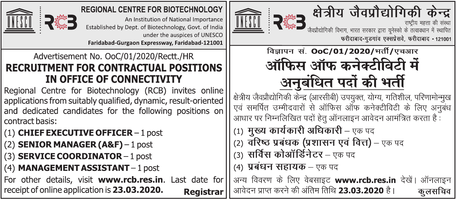

#### **REGIONAL CENTRE FOR BIOTECHNOLOGY**

An Institution of National Importance Established by Dept. of Biotechnology, Govt. of India under the auspices of UNESCO Faridabad-Gurgaon Expressway, Faridabad-121001

### Advertisement No. OoC/01/2020/Rectt./HR **RECRUITMENT FOR CONTRACTUAL POSITIONS** IN OFFICE OF CONNECTIVITY

Regional Centre for Biotechnology (RCB) invites online applications from suitably qualified, dynamic, result-oriented and dedicated candidates for the following positions on l contract basis:

- $(1)$  CHIEF EXECUTIVE OFFICER 1 post
- $(2)$  SENIOR MANAGER (A&F) 1 post
- $(3)$  SERVICE COORDINATOR 1 post
- $(4)$  MANAGEMENT ASSISTANT 1 post

For other details, visit www.rcb.res.in. Last date for receipt of online application is 23.03.2020. Registrar





जैवप्रौद्योगिकी विभाग, भारत सरकार द्वारा यनेस्को के तत्वावधान में स्थापित फरीदाबाद-गुडगांव एक्सप्रेसवे, फरीदाबाद - 121001

विज्ञापन सं. **OoC/01/2020/**भर्ती/एचआर ऑफिस ऑफ कनेक्टीविटी में अनबंधित पदों की भर्ती

क्षेत्रीय जैवप्रौद्योगिकी केन्द्र (आरसीबी) उपयुक्त, योग्य, गतिशील, परिणामोन्मुख एवं समर्पित उम्मीदवारों से ऑफिस ऑफ कनेक्टीविटी के लिए अनुबंध आधार पर निम्नलिखित पदों हेतू ऑनलाइन आवेदन आमंत्रित करता है:

- (1) मुख्य कार्यकारी अधिकारी एक पद
- (2) वरिष्ठ प्रबंधक (प्रशासन एवं वित्त) एक पद
- (3) सर्विस कोऑर्डिनेटर एक पद
- (4) **प्रबंधन सहायक** एक पद

अन्य विवरण के लिए वेबसाइट www.rcb.res.in देखें। ऑनलाइन आवेदन प्राप्त करने की अंतिम तिथि **23.03.2020** है। कलसचिव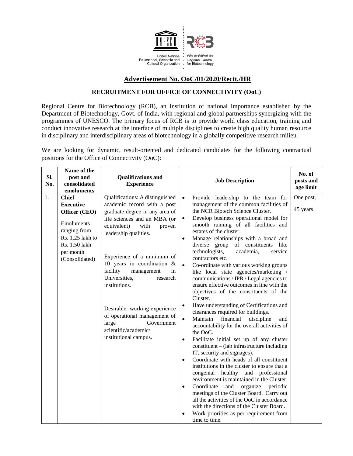

## **Advertisement No. OoC/01/2020/Rectt./HR**

# **RECRUITMENT FOR OFFICE OF CONNECTIVITY (OoC)**

Regional Centre for Biotechnology (RCB), an Institution of national importance established by the Department of Biotechnology, Govt. of India, with regional and global partnerships synergizing with the programmes of UNESCO. The primary focus of RCB is to provide world class education, training and conduct innovative research at the interface of multiple disciplines to create high quality human resource in disciplinary and interdisciplinary areas of biotechnology in a globally competitive research milieu.

We are looking for dynamic, result-oriented and dedicated candidates for the following contractual positions for the Office of Connectivity (OoC):

| Sl.<br>No. | Name of the<br>post and<br>consolidated<br>emoluments                                                                                               | <b>Qualifications and</b><br><b>Experience</b>                                                                                                                                                                                                                                                                                                                                                                                                                                   | <b>Job Description</b>                                                                                                                                                                                                                                                                                                                                                                                                                                                                                                                                                                                                                                                                                                                                                                                                                                                                                                                                                                                                                                                                                                                                                                                                                                                                                                                                                                                                                                                                     | No. of<br>posts and<br>age limit |
|------------|-----------------------------------------------------------------------------------------------------------------------------------------------------|----------------------------------------------------------------------------------------------------------------------------------------------------------------------------------------------------------------------------------------------------------------------------------------------------------------------------------------------------------------------------------------------------------------------------------------------------------------------------------|--------------------------------------------------------------------------------------------------------------------------------------------------------------------------------------------------------------------------------------------------------------------------------------------------------------------------------------------------------------------------------------------------------------------------------------------------------------------------------------------------------------------------------------------------------------------------------------------------------------------------------------------------------------------------------------------------------------------------------------------------------------------------------------------------------------------------------------------------------------------------------------------------------------------------------------------------------------------------------------------------------------------------------------------------------------------------------------------------------------------------------------------------------------------------------------------------------------------------------------------------------------------------------------------------------------------------------------------------------------------------------------------------------------------------------------------------------------------------------------------|----------------------------------|
| 1.         | <b>Chief</b><br><b>Executive</b><br>Officer (CEO)<br>Emoluments<br>ranging from<br>Rs. 1.25 lakh to<br>Rs. 1.50 lakh<br>per month<br>(Consolidated) | Qualifications: A distinguished<br>academic record with a post<br>graduate degree in any area of<br>life sciences and an MBA (or<br>equivalent)<br>with<br>proven<br>leadership qualities.<br>Experience of a minimum of<br>10 years in coordination $\&$<br>facility<br>management<br>in<br>Universities,<br>research<br>institutions.<br>Desirable: working experience<br>of operational management of<br>large<br>Government<br>scientific/academic/<br>institutional campus. | Provide leadership to the team for<br>$\bullet$<br>management of the common facilities of<br>the NCR Biotech Science Cluster.<br>Develop business operational model for<br>$\bullet$<br>smooth running of all facilities and<br>estates of the cluster.<br>Manage relationships with a broad and<br>$\bullet$<br>diverse group of constituents like<br>technologists,<br>academia,<br>service<br>contractors etc.<br>$\bullet$<br>Co-ordinate with various working groups<br>like local state agencies/marketing /<br>communications / IPR / Legal agencies to<br>ensure effective outcomes in line with the<br>objectives of the constituents of the<br>Cluster.<br>Have understanding of Certifications and<br>$\bullet$<br>clearances required for buildings.<br>Maintain<br>financial<br>discipline<br>$\bullet$<br>and<br>accountability for the overall activities of<br>the OoC.<br>Facilitate initial set up of any cluster<br>$\bullet$<br>$constituent - (lab infrastructure including$<br>IT, security and signages).<br>Coordinate with heads of all constituent<br>$\bullet$<br>institutions in the cluster to ensure that a<br>congenial healthy and professional<br>environment is maintained in the Cluster.<br>Coordinate<br>and<br>organize<br>periodic<br>$\bullet$<br>meetings of the Cluster Board. Carry out<br>all the activities of the OoC in accordance<br>with the directions of the Cluster Board.<br>Work priorities as per requirement from<br>time to time. | One post,<br>45 years            |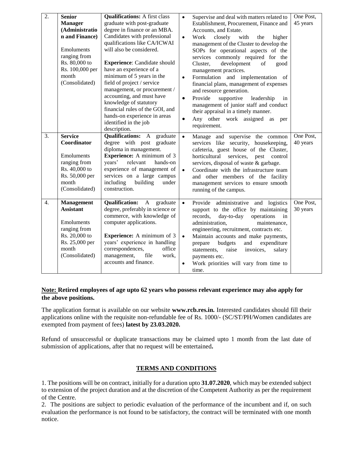| 2. | <b>Senior</b><br><b>Manager</b><br>(Administratio<br>n and Finance)<br>Emoluments<br>ranging from<br>Rs. 80,000 to<br>Rs. 100,000 per<br>month<br>(Consolidated) | <b>Qualifications:</b> A first class<br>graduate with post-graduate<br>degree in finance or an MBA.<br>Candidates with professional<br>qualifications like CA/ICWAI<br>will also be considered.<br><b>Experience:</b> Candidate should<br>have an experience of a<br>minimum of 5 years in the<br>field of project / service<br>management, or procurement /<br>accounting, and must have<br>knowledge of statutory<br>financial rules of the GOI, and<br>hands-on experience in areas<br>identified in the job<br>description. | $\bullet$<br>$\bullet$<br>$\bullet$<br>$\bullet$<br>$\bullet$ | Supervise and deal with matters related to<br>Establishment, Procurement, Finance and<br>Accounts, and Estate.<br>Work<br>closely<br>with<br>the<br>higher<br>management of the Cluster to develop the<br>SOPs for operational aspects of the<br>services commonly required for the<br>development<br>Cluster,<br>of<br>good<br>management practices.<br>Formulation and implementation of<br>financial plans, management of expenses<br>and resource generation.<br>Provide<br>supportive<br>leadership<br>in<br>management of junior staff and conduct<br>their appraisal in a timely manner.<br>Any other work assigned as<br>per<br>requirement. | One Post,<br>45 years |
|----|------------------------------------------------------------------------------------------------------------------------------------------------------------------|---------------------------------------------------------------------------------------------------------------------------------------------------------------------------------------------------------------------------------------------------------------------------------------------------------------------------------------------------------------------------------------------------------------------------------------------------------------------------------------------------------------------------------|---------------------------------------------------------------|------------------------------------------------------------------------------------------------------------------------------------------------------------------------------------------------------------------------------------------------------------------------------------------------------------------------------------------------------------------------------------------------------------------------------------------------------------------------------------------------------------------------------------------------------------------------------------------------------------------------------------------------------|-----------------------|
| 3. | <b>Service</b><br>Coordinator<br>Emoluments<br>ranging from<br>Rs. 40,000 to<br>Rs. 50,000 per<br>month<br>(Consolidated)                                        | <b>Qualifications:</b> A graduate<br>degree with post graduate<br>diploma in management.<br><b>Experience:</b> A minimum of 3<br>years'<br>relevant<br>hands-on<br>experience of management of<br>services on a large campus<br>including<br>building<br>under<br>construction.                                                                                                                                                                                                                                                 | $\bullet$<br>$\bullet$                                        | Manage and supervise the common<br>services like security, housekeeping,<br>cafeteria, guest house of the Cluster,<br>horticultural<br>services, pest<br>control<br>services, disposal of waste & garbage.<br>Coordinate with the infrastructure team<br>and other members of the facility<br>management services to ensure smooth<br>running of the campus.                                                                                                                                                                                                                                                                                         | One Post,<br>40 years |
| 4. | <b>Management</b><br><b>Assistant</b><br>Emoluments<br>ranging from<br>Rs. 20,000 to<br>Rs. 25,000 per<br>month<br>(Consolidated)                                | <b>Qualification:</b><br>$\mathbf{A}$<br>graduate<br>degree, preferably in science or<br>commerce, with knowledge of<br>computer applications.<br><b>Experience:</b> A minimum of 3<br>years' experience in handling<br>correspondences,<br>office<br>management,<br>file<br>work,<br>accounts and finance.                                                                                                                                                                                                                     | $\bullet$<br>$\bullet$                                        | Provide administrative and logistics<br>support to the office by maintaining<br>day-to-day<br>records,<br>operations<br>in<br>administration,<br>maintenance,<br>engineering, recruitment, contracts etc.<br>Maintain accounts and make payments,<br>expenditure<br>prepare<br>budgets<br>and<br>invoices,<br>statements,<br>raise<br>salary<br>payments etc.<br>Work priorities will vary from time to<br>time.                                                                                                                                                                                                                                     | One Post,<br>30 years |

### **Note: Retired employees of age upto 62 years who possess relevant experience may also apply for the above positions.**

The application format is available on our website **www.rcb.res.in.** Interested candidates should fill their applications online with the requisite non-refundable fee of Rs. 1000/- (SC/ST/PH/Women candidates are exempted from payment of fees) **latest by 23.03.2020.** 

Refund of unsuccessful or duplicate transactions may be claimed upto 1 month from the last date of submission of applications, after that no request will be entertained**.** 

## **TERMS AND CONDITIONS**

1. The positions will be on contract, initially for a duration upto **31.07.2020**, which may be extended subject to extension of the project duration and at the discretion of the Competent Authority as per the requirement of the Centre.

2. The positions are subject to periodic evaluation of the performance of the incumbent and if, on such evaluation the performance is not found to be satisfactory, the contract will be terminated with one month notice.